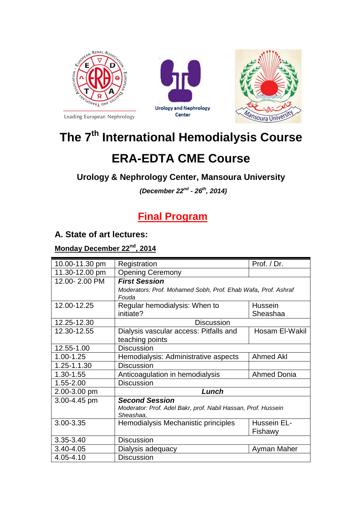

Leading European Nephrology





# **The 7th International Hemodialysis Course**

## **ERA-EDTA CME Course**

#### **Urology & Nephrology Center, Mansoura University**

*(December 22nd - 26th, 2014)*

## **Final Program**

#### **A. State of art lectures:**

#### **Monday December 22nd, 2014**

| 10.00-11.30 pm | Registration                                                  | Prof. / Dr.        |  |
|----------------|---------------------------------------------------------------|--------------------|--|
| 11.30-12.00 pm | <b>Opening Ceremony</b>                                       |                    |  |
| 12.00-2.00 PM  | <b>First Session</b>                                          |                    |  |
|                | Moderators: Prof. Mohamed Sobh, Prof. Ehab Wafa, Prof. Ashraf |                    |  |
|                | Fouda                                                         |                    |  |
| 12.00-12.25    | Regular hemodialysis: When to                                 | <b>Hussein</b>     |  |
|                | initiate?                                                     | Sheashaa           |  |
| 12.25-12.30    | <b>Discussion</b>                                             |                    |  |
| 12.30-12.55    | Dialysis vascular access: Pitfalls and<br>Hosam El-Wakil      |                    |  |
|                | teaching points                                               |                    |  |
| 12.55-1.00     | <b>Discussion</b>                                             |                    |  |
| 1.00-1.25      | Hemodialysis: Administrative aspects                          | Ahmed Akl          |  |
| 1.25-1.1.30    | <b>Discussion</b>                                             |                    |  |
| 1.30-1.55      | Anticoagulation in hemodialysis<br><b>Ahmed Donia</b>         |                    |  |
| 1.55-2.00      | <b>Discussion</b>                                             |                    |  |
| 2.00-3.00 pm   | Lunch                                                         |                    |  |
| 3.00-4.45 pm   | <b>Second Session</b>                                         |                    |  |
|                | Moderator: Prof. Adel Bakr, prof. Nabil Hassan, Prof. Hussein |                    |  |
|                | Sheashaa,                                                     |                    |  |
| 3.00-3.35      | Hemodialysis Mechanistic principles                           | <b>Hussein EL-</b> |  |
|                |                                                               | Fishawy            |  |
| 3.35-3.40      | <b>Discussion</b>                                             |                    |  |
| 3.40-4.05      | Dialysis adequacy<br>Ayman Maher                              |                    |  |
| 4.05-4.10      | <b>Discussion</b>                                             |                    |  |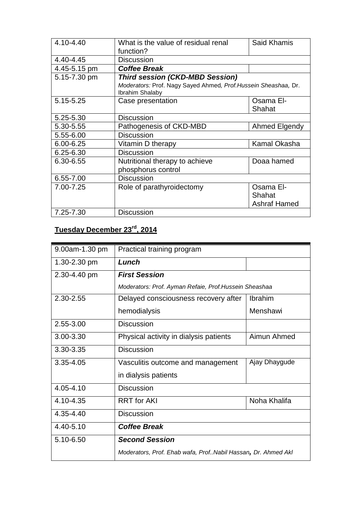| 4.10-4.40    | What is the value of residual renal<br>function?                                   | <b>Said Khamis</b>  |  |
|--------------|------------------------------------------------------------------------------------|---------------------|--|
| 4.40-4.45    | <b>Discussion</b>                                                                  |                     |  |
| 4.45-5.15 pm | <b>Coffee Break</b>                                                                |                     |  |
| 5.15-7.30 pm | <b>Third session (CKD-MBD Session)</b>                                             |                     |  |
|              | Moderators: Prof. Nagy Sayed Ahmed, Prof. Hussein Sheashaa, Dr.<br>Ibrahim Shalaby |                     |  |
| 5.15-5.25    | Case presentation                                                                  | Osama El-           |  |
|              |                                                                                    | Shahat              |  |
| 5.25-5.30    | <b>Discussion</b>                                                                  |                     |  |
| 5.30-5.55    | Pathogenesis of CKD-MBD                                                            | Ahmed Elgendy       |  |
| 5.55-6.00    | <b>Discussion</b>                                                                  |                     |  |
| 6.00-6.25    | Vitamin D therapy                                                                  | Kamal Okasha        |  |
| 6.25-6.30    | <b>Discussion</b>                                                                  |                     |  |
| 6.30-6.55    | Nutritional therapy to achieve                                                     | Doaa hamed          |  |
|              | phosphorus control                                                                 |                     |  |
| 6.55-7.00    | <b>Discussion</b>                                                                  |                     |  |
| 7.00-7.25    | Role of parathyroidectomy                                                          | Osama El-           |  |
|              |                                                                                    | Shahat              |  |
|              |                                                                                    | <b>Ashraf Hamed</b> |  |
| 7.25-7.30    | <b>Discussion</b>                                                                  |                     |  |

## **Tuesday December 23rd, 2014**

| 9.00am-1.30 pm | Practical training program                                   |               |
|----------------|--------------------------------------------------------------|---------------|
| 1.30-2.30 pm   | Lunch                                                        |               |
| 2.30-4.40 pm   | <b>First Session</b>                                         |               |
|                | Moderators: Prof. Ayman Refaie, Prof.Hussein Sheashaa        |               |
| 2.30-2.55      | <b>Ibrahim</b><br>Delayed consciousness recovery after       |               |
|                | hemodialysis                                                 | Menshawi      |
| 2.55-3.00      | <b>Discussion</b>                                            |               |
| 3.00-3.30      | Physical activity in dialysis patients                       | Aimun Ahmed   |
| 3.30-3.35      | Discussion                                                   |               |
| 3.35-4.05      | Vasculitis outcome and management                            | Ajay Dhaygude |
|                | in dialysis patients                                         |               |
| 4.05-4.10      | <b>Discussion</b>                                            |               |
| 4.10-4.35      | <b>RRT</b> for AKI<br>Noha Khalifa                           |               |
| 4.35-4.40      | <b>Discussion</b>                                            |               |
| $4.40 - 5.10$  | <b>Coffee Break</b>                                          |               |
| 5.10-6.50      | <b>Second Session</b>                                        |               |
|                | Moderators, Prof. Ehab wafa, ProfNabil Hassan, Dr. Ahmed Akl |               |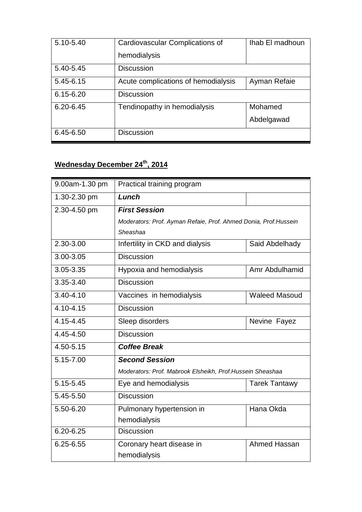| 5.10-5.40     | Cardiovascular Complications of         | Ihab El madhoun |
|---------------|-----------------------------------------|-----------------|
|               | hemodialysis                            |                 |
| 5.40-5.45     | <b>Discussion</b>                       |                 |
| 5.45-6.15     | Acute complications of hemodialysis     | Ayman Refaie    |
| $6.15 - 6.20$ | <b>Discussion</b>                       |                 |
| $6.20 - 6.45$ | Mohamed<br>Tendinopathy in hemodialysis |                 |
|               |                                         | Abdelgawad      |
| 6.45-6.50     | <b>Discussion</b>                       |                 |

#### **Wednesday December 24th, 2014**

| 9.00am-1.30 pm | Practical training program                                       |                      |  |
|----------------|------------------------------------------------------------------|----------------------|--|
| 1.30-2.30 pm   | Lunch                                                            |                      |  |
| 2.30-4.50 pm   | <b>First Session</b>                                             |                      |  |
|                | Moderators: Prof. Ayman Refaie, Prof. Ahmed Donia, Prof. Hussein |                      |  |
|                | Sheashaa                                                         |                      |  |
| 2.30-3.00      | Infertility in CKD and dialysis<br>Said Abdelhady                |                      |  |
| 3.00-3.05      | <b>Discussion</b>                                                |                      |  |
| 3.05-3.35      | Hypoxia and hemodialysis                                         | Amr Abdulhamid       |  |
| 3.35-3.40      | <b>Discussion</b>                                                |                      |  |
| $3.40 - 4.10$  | Vaccines in hemodialysis                                         | <b>Waleed Masoud</b> |  |
| $4.10 - 4.15$  | <b>Discussion</b>                                                |                      |  |
| 4.15-4.45      | Sleep disorders                                                  | Nevine Fayez         |  |
| 4.45-4.50      | <b>Discussion</b>                                                |                      |  |
| 4.50-5.15      | <b>Coffee Break</b>                                              |                      |  |
| 5.15-7.00      | <b>Second Session</b>                                            |                      |  |
|                | Moderators: Prof. Mabrook Elsheikh, Prof. Hussein Sheashaa       |                      |  |
| 5.15-5.45      | Eye and hemodialysis                                             | <b>Tarek Tantawy</b> |  |
| 5.45-5.50      | <b>Discussion</b>                                                |                      |  |
| 5.50-6.20      | Pulmonary hypertension in<br>Hana Okda                           |                      |  |
|                | hemodialysis                                                     |                      |  |
| 6.20-6.25      | <b>Discussion</b>                                                |                      |  |
| 6.25-6.55      | Ahmed Hassan<br>Coronary heart disease in                        |                      |  |
|                | hemodialysis                                                     |                      |  |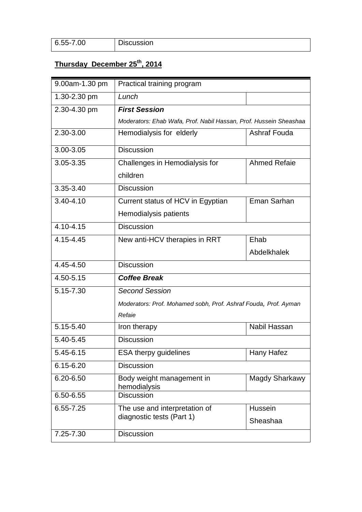| 6.55-7.00 | <b>Discussion</b> |
|-----------|-------------------|
|           |                   |

## **Thursday December 25th, 2014**

| 9.00am-1.30 pm                             | Practical training program                                        |              |  |  |
|--------------------------------------------|-------------------------------------------------------------------|--------------|--|--|
| 1.30-2.30 pm                               | Lunch                                                             |              |  |  |
| 2.30-4.30 pm                               | <b>First Session</b>                                              |              |  |  |
|                                            | Moderators: Ehab Wafa, Prof. Nabil Hassan, Prof. Hussein Sheashaa |              |  |  |
| 2.30-3.00                                  | Hemodialysis for elderly                                          | Ashraf Fouda |  |  |
| 3.00-3.05                                  | <b>Discussion</b>                                                 |              |  |  |
| 3.05-3.35                                  | <b>Ahmed Refaie</b><br>Challenges in Hemodialysis for             |              |  |  |
|                                            | children                                                          |              |  |  |
| 3.35-3.40                                  | <b>Discussion</b>                                                 |              |  |  |
| $3.40 - 4.10$                              | Current status of HCV in Egyptian                                 | Eman Sarhan  |  |  |
|                                            | Hemodialysis patients                                             |              |  |  |
| $4.10 - 4.15$                              | <b>Discussion</b>                                                 |              |  |  |
| 4.15-4.45                                  | New anti-HCV therapies in RRT                                     | Ehab         |  |  |
|                                            |                                                                   | Abdelkhalek  |  |  |
| 4.45-4.50                                  | <b>Discussion</b>                                                 |              |  |  |
| 4.50-5.15                                  | <b>Coffee Break</b>                                               |              |  |  |
| 5.15-7.30                                  | <b>Second Session</b>                                             |              |  |  |
|                                            | Moderators: Prof. Mohamed sobh, Prof. Ashraf Fouda, Prof. Ayman   |              |  |  |
|                                            | Refaie                                                            |              |  |  |
| 5.15-5.40                                  | Iron therapy                                                      | Nabil Hassan |  |  |
| 5.40-5.45                                  | <b>Discussion</b>                                                 |              |  |  |
| 5.45-6.15                                  | <b>ESA therpy guidelines</b><br>Hany Hafez                        |              |  |  |
| 6.15-6.20                                  | <b>Discussion</b>                                                 |              |  |  |
| 6.20-6.50                                  | Body weight management in<br>Magdy Sharkawy<br>hemodialysis       |              |  |  |
| 6.50-6.55                                  | <b>Discussion</b>                                                 |              |  |  |
| 6.55-7.25<br>The use and interpretation of |                                                                   | Hussein      |  |  |
|                                            | diagnostic tests (Part 1)                                         | Sheashaa     |  |  |
| 7.25-7.30                                  | <b>Discussion</b>                                                 |              |  |  |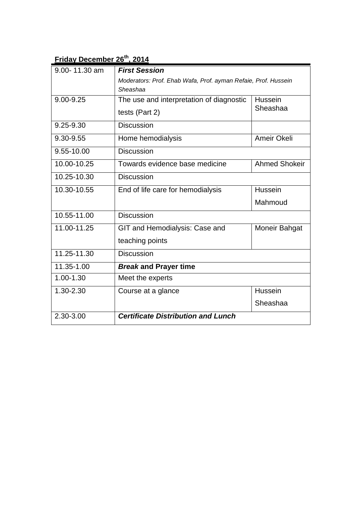## **Friday December 26th, 2014**

| 9.00-11.30 am | <b>First Session</b>                                           |               |
|---------------|----------------------------------------------------------------|---------------|
|               | Moderators: Prof. Ehab Wafa, Prof. ayman Refaie, Prof. Hussein |               |
|               | Sheashaa                                                       |               |
| 9.00-9.25     | The use and interpretation of diagnostic<br>Hussein            |               |
|               | tests (Part 2)                                                 | Sheashaa      |
| 9.25-9.30     | <b>Discussion</b>                                              |               |
| 9.30-9.55     | Ameir Okeli<br>Home hemodialysis                               |               |
| 9.55-10.00    | <b>Discussion</b>                                              |               |
| 10.00-10.25   | <b>Ahmed Shokeir</b><br>Towards evidence base medicine         |               |
| 10.25-10.30   | <b>Discussion</b>                                              |               |
| 10.30-10.55   | End of life care for hemodialysis                              | Hussein       |
|               |                                                                | Mahmoud       |
| 10.55-11.00   | <b>Discussion</b>                                              |               |
| 11.00-11.25   | GIT and Hemodialysis: Case and                                 | Moneir Bahgat |
|               | teaching points                                                |               |
| 11.25-11.30   | <b>Discussion</b>                                              |               |
| 11.35-1.00    | <b>Break and Prayer time</b>                                   |               |
| 1.00-1.30     | Meet the experts                                               |               |
| 1.30-2.30     | Course at a glance                                             | Hussein       |
|               |                                                                | Sheashaa      |
| 2.30-3.00     | <b>Certificate Distribution and Lunch</b>                      |               |